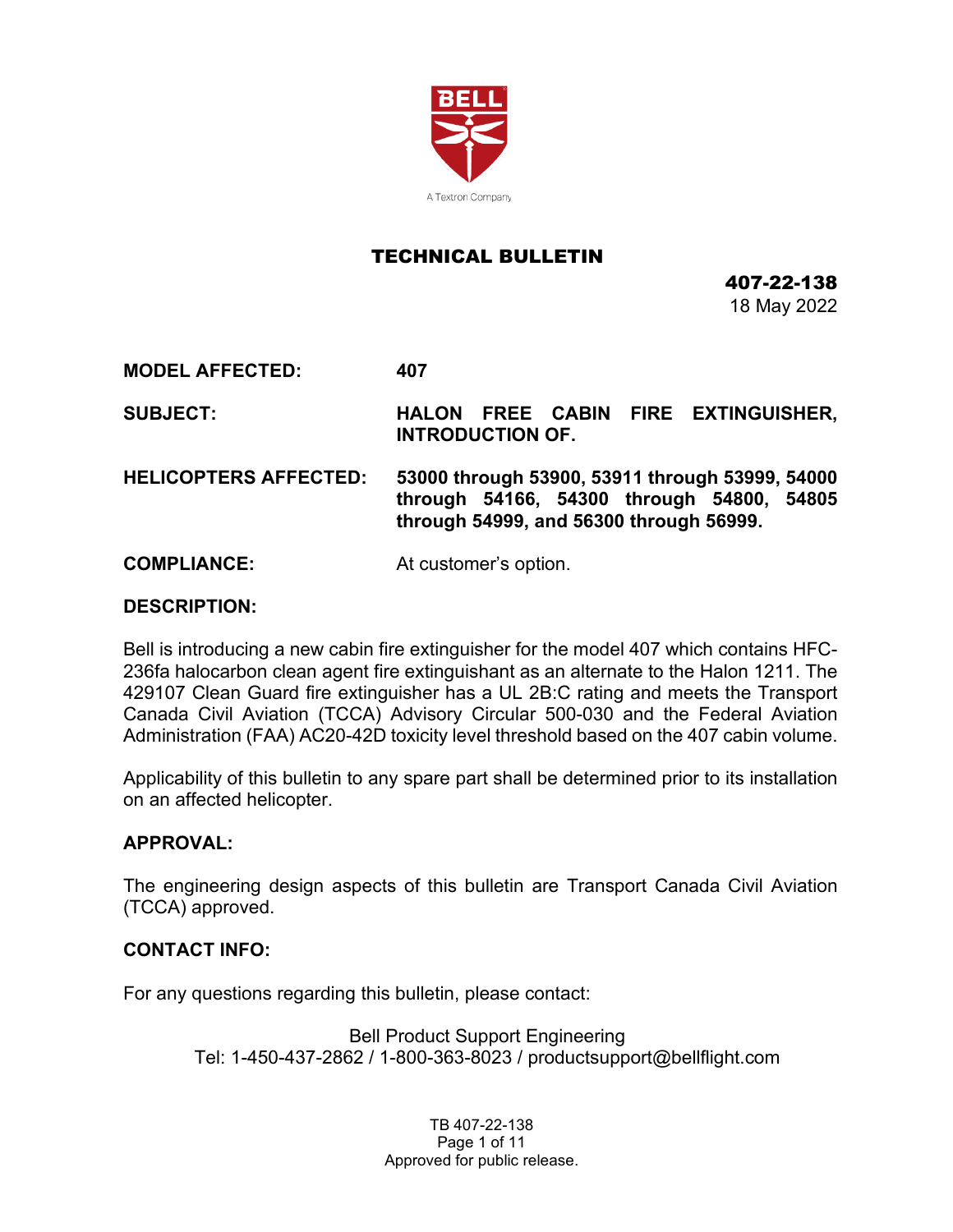

### TECHNICAL BULLETIN

407-22-138 18 May 2022

**MODEL AFFECTED: 407**

**SUBJECT: HALON FREE CABIN FIRE EXTINGUISHER, INTRODUCTION OF.**

**HELICOPTERS AFFECTED: 53000 through 53900, 53911 through 53999, 54000 through 54166, 54300 through 54800, 54805 through 54999, and 56300 through 56999.**

**COMPLIANCE:** At customer's option.

### **DESCRIPTION:**

Bell is introducing a new cabin fire extinguisher for the model 407 which contains HFC-236fa halocarbon clean agent fire extinguishant as an alternate to the Halon 1211. The 429107 Clean Guard fire extinguisher has a UL 2B:C rating and meets the Transport Canada Civil Aviation (TCCA) Advisory Circular 500-030 and the Federal Aviation Administration (FAA) AC20-42D toxicity level threshold based on the 407 cabin volume.

Applicability of this bulletin to any spare part shall be determined prior to its installation on an affected helicopter.

### **APPROVAL:**

The engineering design aspects of this bulletin are Transport Canada Civil Aviation (TCCA) approved.

### **CONTACT INFO:**

For any questions regarding this bulletin, please contact:

Bell Product Support Engineering Tel: 1-450-437-2862 / 1-800-363-8023 / productsupport@bellflight.com

> TB 407-22-138 Page 1 of 11 Approved for public release.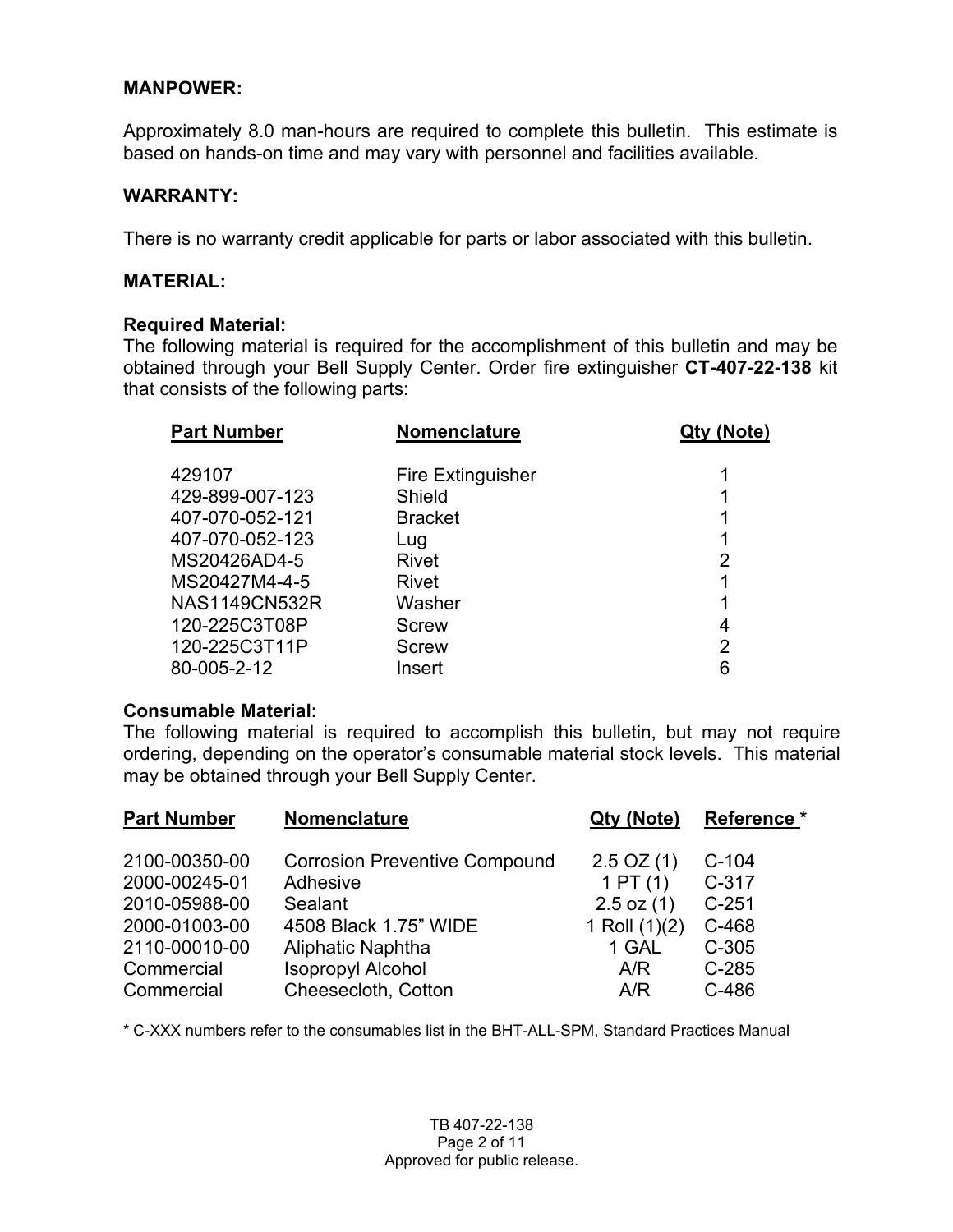### **MANPOWER:**

Approximately 8.0 man-hours are required to complete this bulletin. This estimate is based on hands-on time and may vary with personnel and facilities available.

### **WARRANTY:**

There is no warranty credit applicable for parts or labor associated with this bulletin.

### **MATERIAL:**

### **Required Material:**

The following material is required for the accomplishment of this bulletin and may be obtained through your Bell Supply Center. Order fire extinguisher **CT-407-22-138** kit that consists of the following parts:

| <b>Nomenclature</b>      | Qty (Note) |
|--------------------------|------------|
| <b>Fire Extinguisher</b> |            |
| Shield                   |            |
| <b>Bracket</b>           | 1          |
| Lug                      |            |
| Rivet                    | 2          |
| Rivet                    |            |
| Washer                   | 1          |
| <b>Screw</b>             | 4          |
| <b>Screw</b>             | 2          |
| Insert                   | 6          |
|                          |            |

### **Consumable Material:**

The following material is required to accomplish this bulletin, but may not require ordering, depending on the operator's consumable material stock levels. This material may be obtained through your Bell Supply Center.

| <b>Part Number</b> | <b>Nomenclature</b>                  |                 | Reference * |
|--------------------|--------------------------------------|-----------------|-------------|
| 2100-00350-00      | <b>Corrosion Preventive Compound</b> | $2.5$ OZ (1)    | $C-104$     |
| 2000-00245-01      | Adhesive                             | 1PT(1)          | $C-317$     |
| 2010-05988-00      | Sealant                              | $2.5$ oz $(1)$  | $C-251$     |
| 2000-01003-00      | 4508 Black 1.75" WIDE                | 1 Roll $(1)(2)$ | C-468       |
| 2110-00010-00      | Aliphatic Naphtha                    | 1 GAL           | $C-305$     |
| Commercial         | <b>Isopropyl Alcohol</b>             | A/R             | $C-285$     |
| Commercial         | Cheesecloth, Cotton                  | A/R             | C-486       |

\* C-XXX numbers refer to the consumables list in the BHT-ALL-SPM, Standard Practices Manual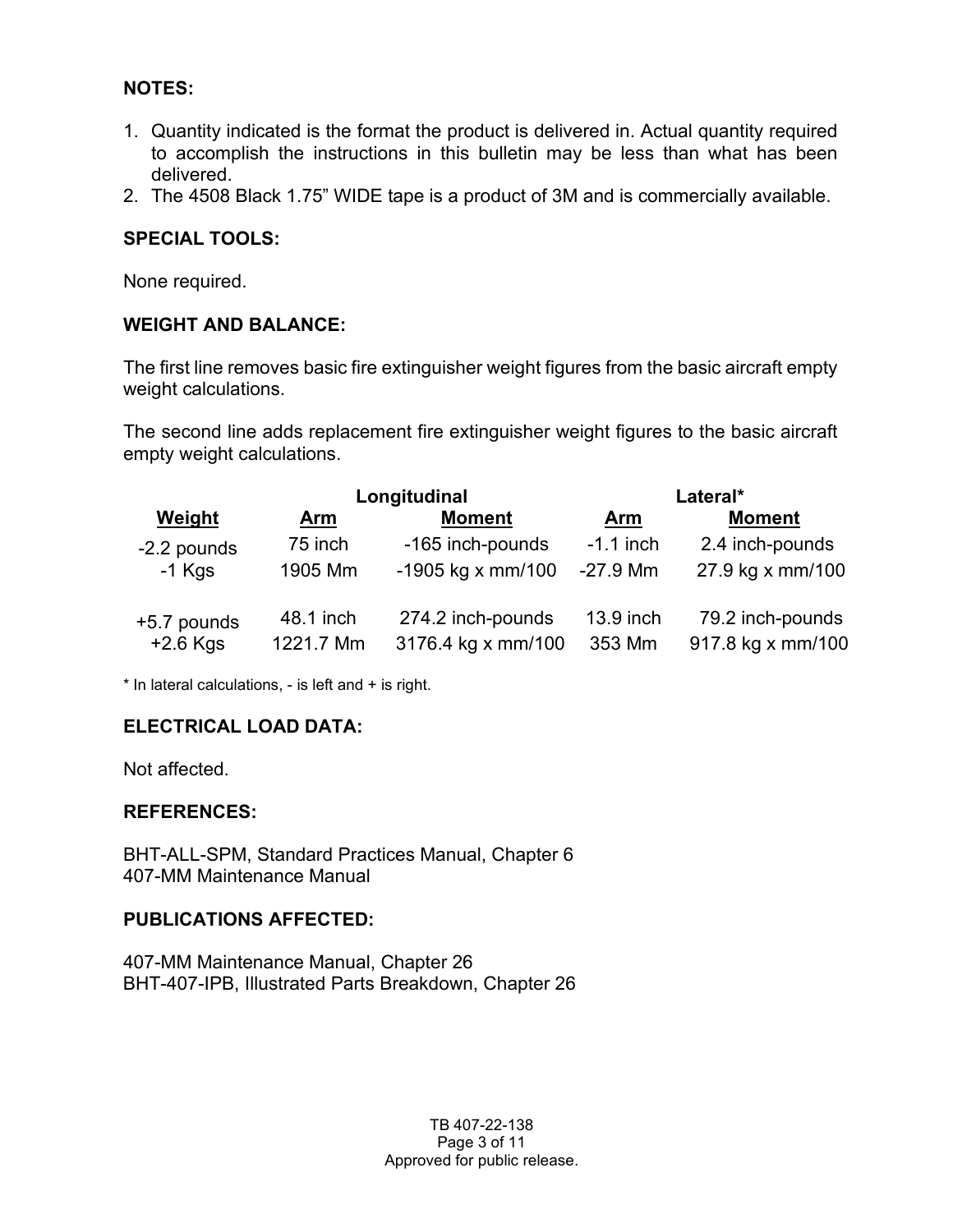### **NOTES:**

- 1. Quantity indicated is the format the product is delivered in. Actual quantity required to accomplish the instructions in this bulletin may be less than what has been delivered.
- 2. The 4508 Black 1.75" WIDE tape is a product of 3M and is commercially available.

### **SPECIAL TOOLS:**

None required.

### **WEIGHT AND BALANCE:**

The first line removes basic fire extinguisher weight figures from the basic aircraft empty weight calculations.

The second line adds replacement fire extinguisher weight figures to the basic aircraft empty weight calculations.

|               | Longitudinal |                     | Lateral*    |                   |
|---------------|--------------|---------------------|-------------|-------------------|
| <b>Weight</b> | <u>Arm</u>   | <b>Moment</b>       | <u>Arm</u>  | <b>Moment</b>     |
| -2.2 pounds   | 75 inch      | -165 inch-pounds    | $-1.1$ inch | 2.4 inch-pounds   |
| $-1$ Kgs      | 1905 Mm      | $-1905$ kg x mm/100 | $-27.9$ Mm  | 27.9 kg x mm/100  |
| +5.7 pounds   | 48.1 inch    | 274.2 inch-pounds   | 13.9 inch   | 79.2 inch-pounds  |
| $+2.6$ Kgs    | 1221.7 Mm    | 3176.4 kg x mm/100  | 353 Mm      | 917.8 kg x mm/100 |

\* In lateral calculations, - is left and + is right.

### **ELECTRICAL LOAD DATA:**

Not affected.

### **REFERENCES:**

BHT-ALL-SPM, Standard Practices Manual, Chapter 6 407-MM Maintenance Manual

### **PUBLICATIONS AFFECTED:**

407-MM Maintenance Manual, Chapter 26 BHT-407-IPB, Illustrated Parts Breakdown, Chapter 26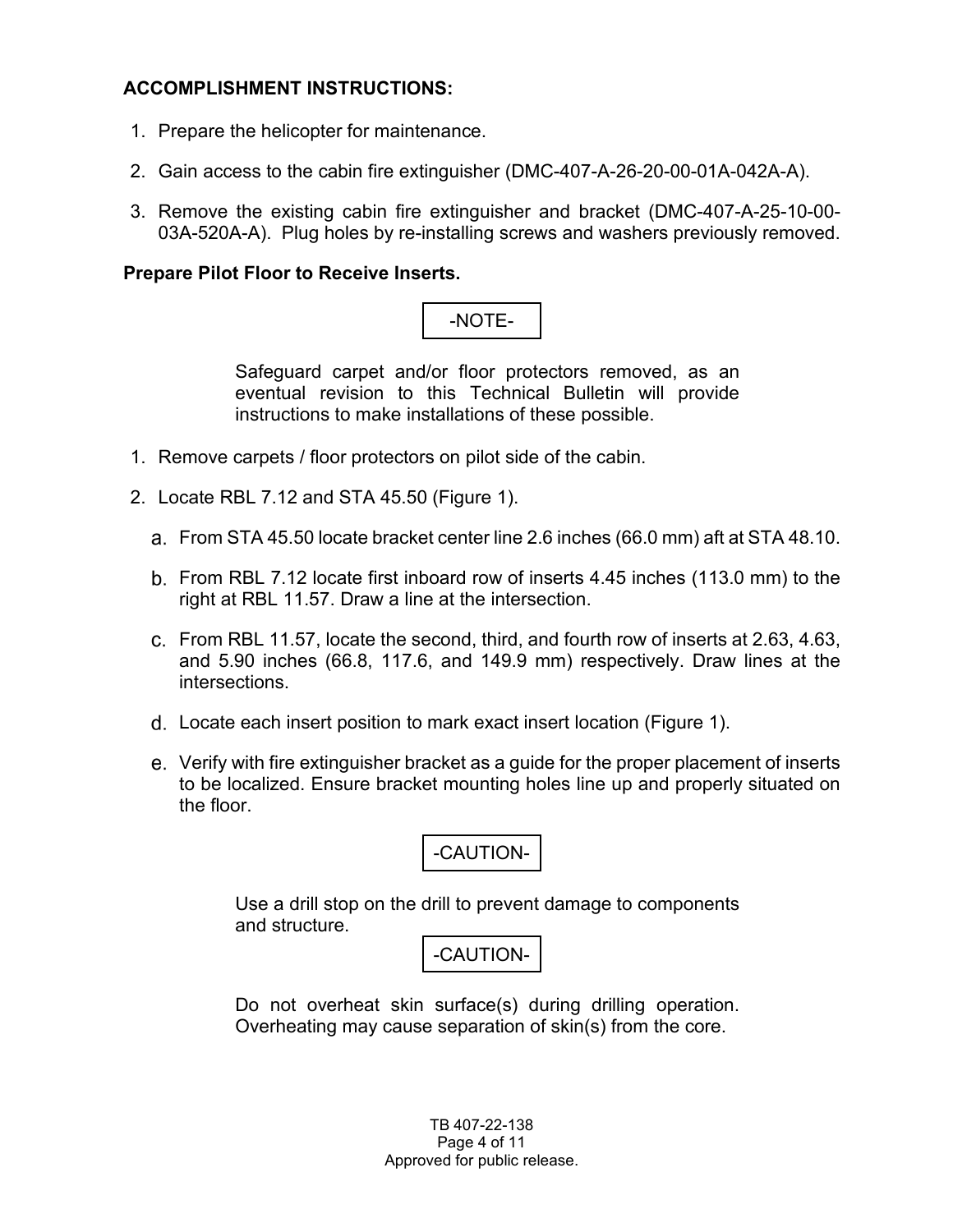### **ACCOMPLISHMENT INSTRUCTIONS:**

- 1. Prepare the helicopter for maintenance.
- 2. Gain access to the cabin fire extinguisher (DMC-407-A-26-20-00-01A-042A-A).
- 3. Remove the existing cabin fire extinguisher and bracket (DMC-407-A-25-10-00- 03A-520A-A). Plug holes by re-installing screws and washers previously removed.

### **Prepare Pilot Floor to Receive Inserts.**

# -NOTE-

Safeguard carpet and/or floor protectors removed, as an eventual revision to this Technical Bulletin will provide instructions to make installations of these possible.

- 1. Remove carpets / floor protectors on pilot side of the cabin.
- 2. Locate RBL 7.12 and STA 45.50 (Figure 1).
	- From STA 45.50 locate bracket center line 2.6 inches (66.0 mm) aft at STA 48.10.
	- b. From RBL 7.12 locate first inboard row of inserts 4.45 inches (113.0 mm) to the right at RBL 11.57. Draw a line at the intersection.
	- From RBL 11.57, locate the second, third, and fourth row of inserts at 2.63, 4.63, and 5.90 inches (66.8, 117.6, and 149.9 mm) respectively. Draw lines at the intersections.
	- Locate each insert position to mark exact insert location (Figure 1).
	- Verify with fire extinguisher bracket as a guide for the proper placement of inserts to be localized. Ensure bracket mounting holes line up and properly situated on the floor.



Use a drill stop on the drill to prevent damage to components and structure.

-CAUTION-

Do not overheat skin surface(s) during drilling operation. Overheating may cause separation of skin(s) from the core.

> TB 407-22-138 Page 4 of 11 Approved for public release.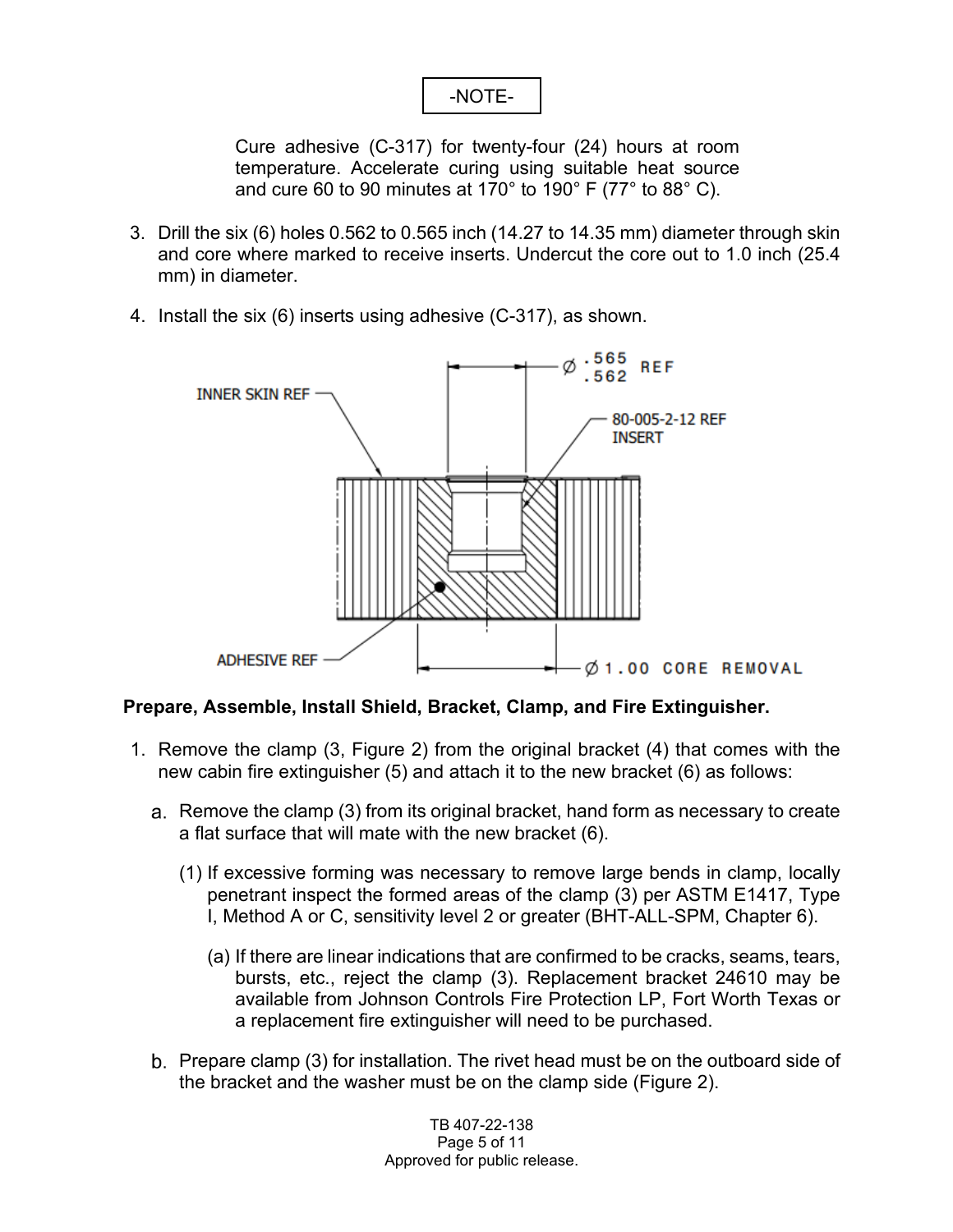## -NOTE-

Cure adhesive (C-317) for twenty-four (24) hours at room temperature. Accelerate curing using suitable heat source and cure 60 to 90 minutes at 170° to 190° F (77° to 88° C).

- 3. Drill the six (6) holes 0.562 to 0.565 inch (14.27 to 14.35 mm) diameter through skin and core where marked to receive inserts. Undercut the core out to 1.0 inch (25.4 mm) in diameter.
- 4. Install the six (6) inserts using adhesive (C-317), as shown.



### **Prepare, Assemble, Install Shield, Bracket, Clamp, and Fire Extinguisher.**

- 1. Remove the clamp (3, Figure 2) from the original bracket (4) that comes with the new cabin fire extinguisher (5) and attach it to the new bracket (6) as follows:
	- a. Remove the clamp (3) from its original bracket, hand form as necessary to create a flat surface that will mate with the new bracket (6).
		- (1) If excessive forming was necessary to remove large bends in clamp, locally penetrant inspect the formed areas of the clamp (3) per ASTM E1417, Type I, Method A or C, sensitivity level 2 or greater (BHT-ALL-SPM, Chapter 6).
			- (a) If there are linear indications that are confirmed to be cracks, seams, tears, bursts, etc., reject the clamp (3). Replacement bracket 24610 may be available from Johnson Controls Fire Protection LP, Fort Worth Texas or a replacement fire extinguisher will need to be purchased.
	- b. Prepare clamp (3) for installation. The rivet head must be on the outboard side of the bracket and the washer must be on the clamp side (Figure 2).

TB 407-22-138 Page 5 of 11 Approved for public release.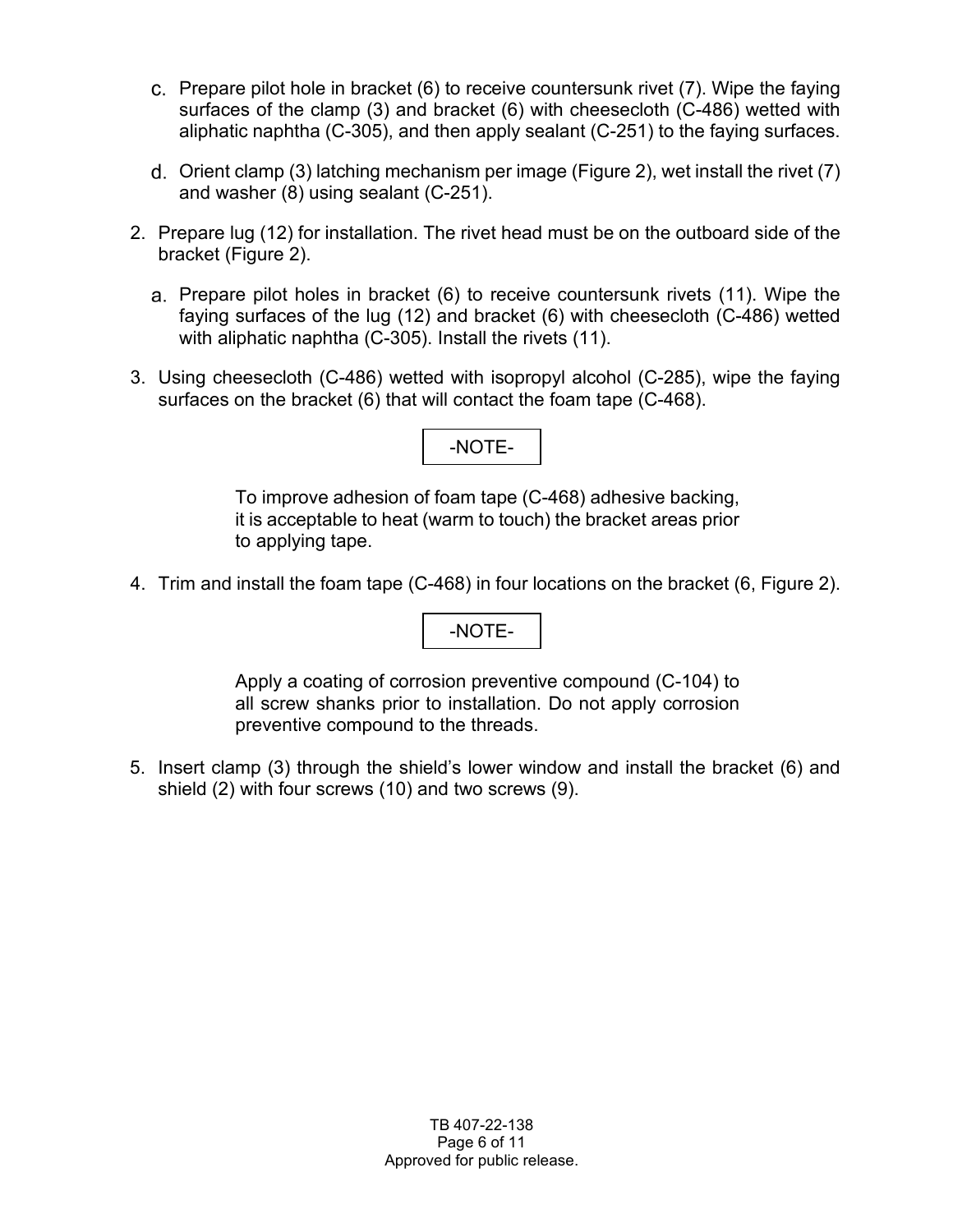- Prepare pilot hole in bracket (6) to receive countersunk rivet (7). Wipe the faying surfaces of the clamp (3) and bracket (6) with cheesecloth (C-486) wetted with aliphatic naphtha (C-305), and then apply sealant (C-251) to the faying surfaces.
- Orient clamp (3) latching mechanism per image (Figure 2), wet install the rivet (7) and washer (8) using sealant (C-251).
- 2. Prepare lug (12) for installation. The rivet head must be on the outboard side of the bracket (Figure 2).
	- Prepare pilot holes in bracket (6) to receive countersunk rivets (11). Wipe the faying surfaces of the lug (12) and bracket (6) with cheesecloth (C-486) wetted with aliphatic naphtha (C-305). Install the rivets (11).
- 3. Using cheesecloth (C-486) wetted with isopropyl alcohol (C-285), wipe the faying surfaces on the bracket (6) that will contact the foam tape (C-468).

## -NOTE-

To improve adhesion of foam tape (C-468) adhesive backing, it is acceptable to heat (warm to touch) the bracket areas prior to applying tape.

4. Trim and install the foam tape (C-468) in four locations on the bracket (6, Figure 2).

### -NOTE-

Apply a coating of corrosion preventive compound (C-104) to all screw shanks prior to installation. Do not apply corrosion preventive compound to the threads.

5. Insert clamp (3) through the shield's lower window and install the bracket (6) and shield (2) with four screws (10) and two screws (9).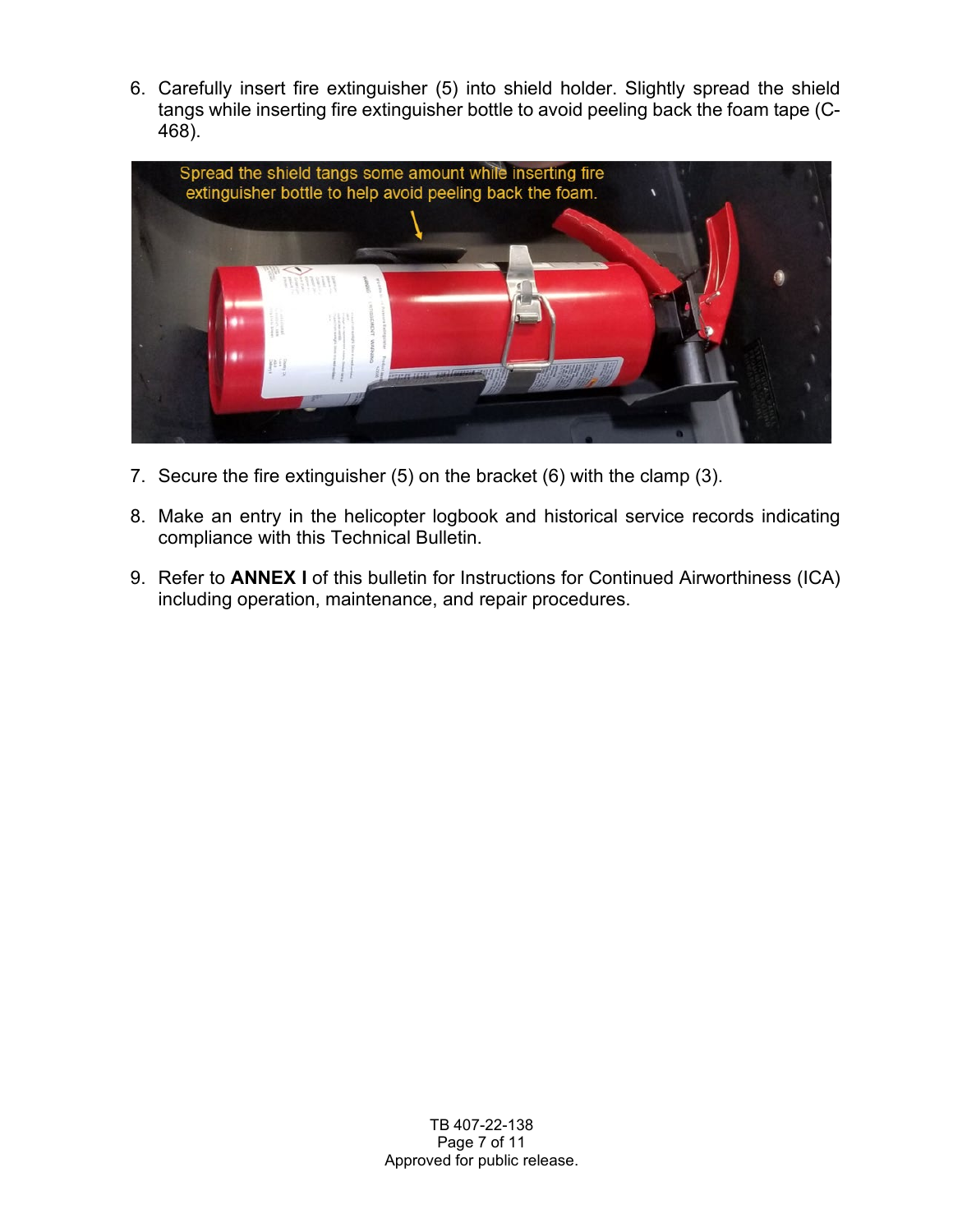6. Carefully insert fire extinguisher (5) into shield holder. Slightly spread the shield tangs while inserting fire extinguisher bottle to avoid peeling back the foam tape (C-468).



- 7. Secure the fire extinguisher (5) on the bracket (6) with the clamp (3).
- 8. Make an entry in the helicopter logbook and historical service records indicating compliance with this Technical Bulletin.
- 9. Refer to **ANNEX I** of this bulletin for Instructions for Continued Airworthiness (ICA) including operation, maintenance, and repair procedures.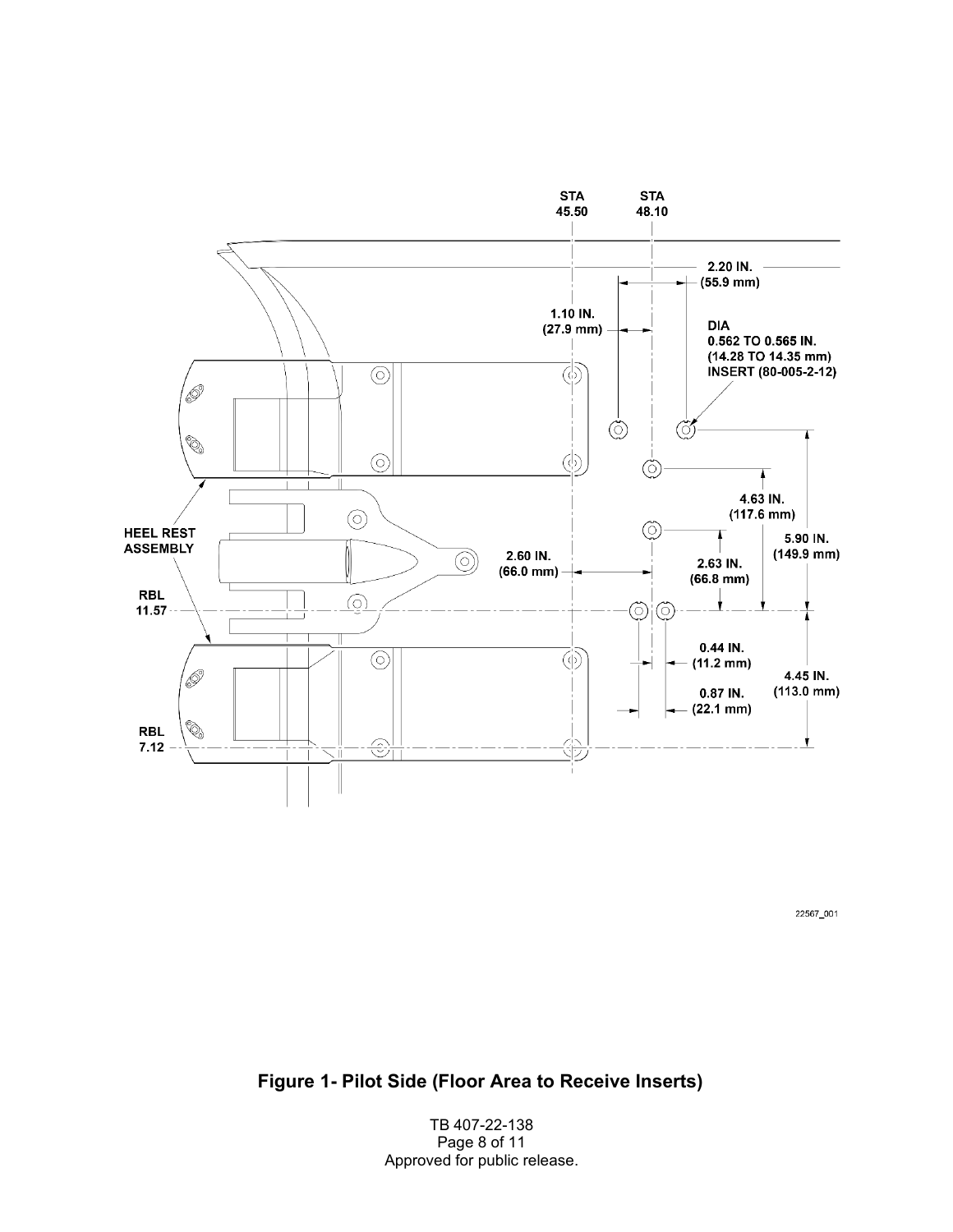

22567\_001

**Figure 1- Pilot Side (Floor Area to Receive Inserts)** 

TB 407-22-138 Page 8 of 11 Approved for public release.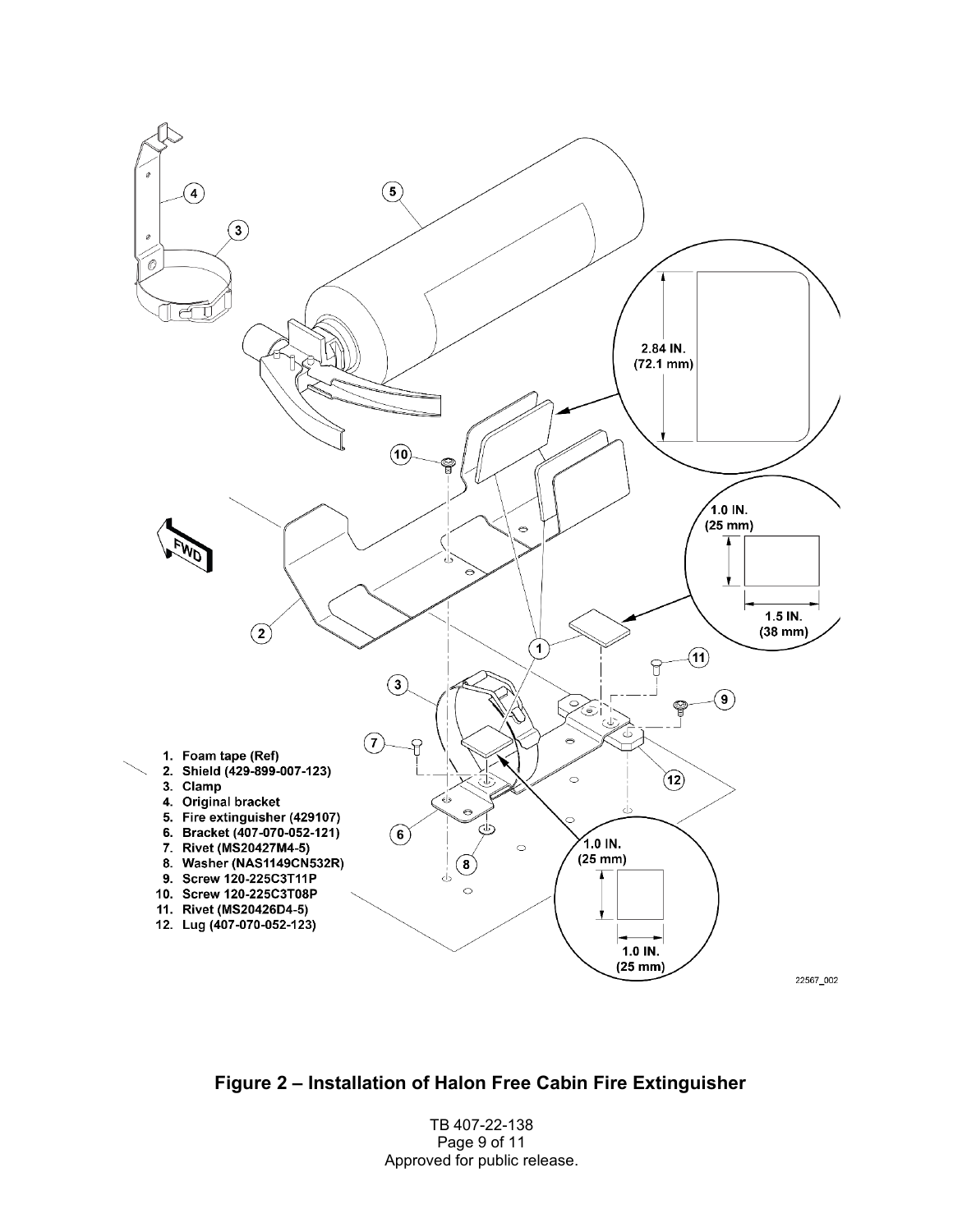

**Figure 2 – Installation of Halon Free Cabin Fire Extinguisher** 

TB 407-22-138 Page 9 of 11 Approved for public release.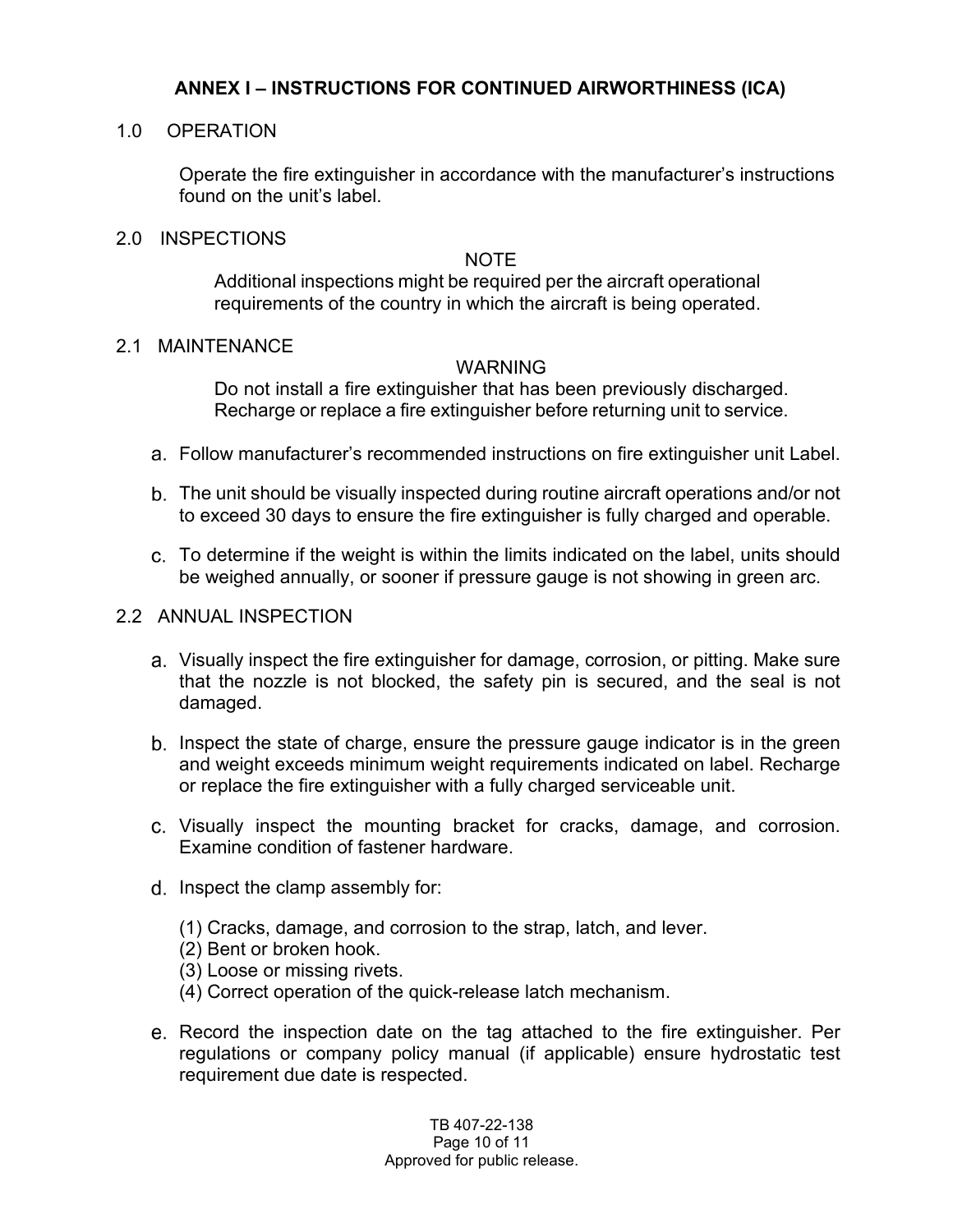### **ANNEX I – INSTRUCTIONS FOR CONTINUED AIRWORTHINESS (ICA)**

### 1.0 OPERATION

Operate the fire extinguisher in accordance with the manufacturer's instructions found on the unit's label.

### 2.0 INSPECTIONS

### **NOTE**

Additional inspections might be required per the aircraft operational requirements of the country in which the aircraft is being operated.

### 2.1 MAINTENANCE

### WARNING

Do not install a fire extinguisher that has been previously discharged. Recharge or replace a fire extinguisher before returning unit to service.

- Follow manufacturer's recommended instructions on fire extinguisher unit Label.
- The unit should be visually inspected during routine aircraft operations and/or not to exceed 30 days to ensure the fire extinguisher is fully charged and operable.
- To determine if the weight is within the limits indicated on the label, units should be weighed annually, or sooner if pressure gauge is not showing in green arc.

### 2.2 ANNUAL INSPECTION

- Visually inspect the fire extinguisher for damage, corrosion, or pitting. Make sure that the nozzle is not blocked, the safety pin is secured, and the seal is not damaged.
- b. Inspect the state of charge, ensure the pressure gauge indicator is in the green and weight exceeds minimum weight requirements indicated on label. Recharge or replace the fire extinguisher with a fully charged serviceable unit.
- Visually inspect the mounting bracket for cracks, damage, and corrosion. Examine condition of fastener hardware.
- d. Inspect the clamp assembly for:
	- (1) Cracks, damage, and corrosion to the strap, latch, and lever.
	- (2) Bent or broken hook.
	- (3) Loose or missing rivets.
	- (4) Correct operation of the quick-release latch mechanism.
- Record the inspection date on the tag attached to the fire extinguisher. Per regulations or company policy manual (if applicable) ensure hydrostatic test requirement due date is respected.

TB 407-22-138 Page 10 of 11 Approved for public release.